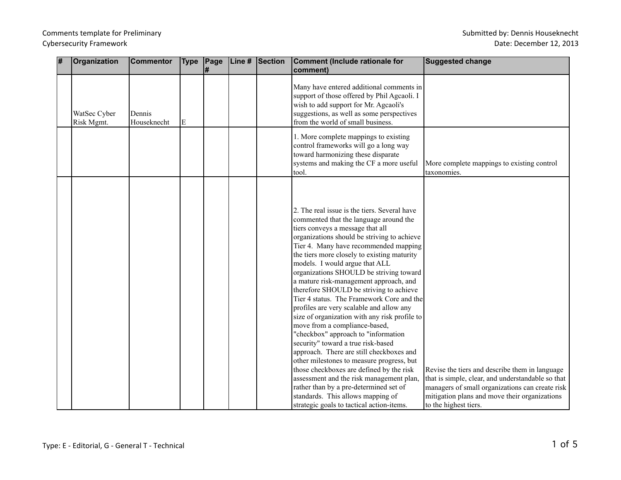| # | Organization               | <b>Commentor</b>      | <b>Type</b> | Page | Line # | Section | Comment (Include rationale for                                                                                                                                                                                                                                                                                                                                                                                                                                                                                                                                                                                                                                                                                                                                                                                                                                                                                                                                                                           | <b>Suggested change</b>                                                                                                                                                                                                          |
|---|----------------------------|-----------------------|-------------|------|--------|---------|----------------------------------------------------------------------------------------------------------------------------------------------------------------------------------------------------------------------------------------------------------------------------------------------------------------------------------------------------------------------------------------------------------------------------------------------------------------------------------------------------------------------------------------------------------------------------------------------------------------------------------------------------------------------------------------------------------------------------------------------------------------------------------------------------------------------------------------------------------------------------------------------------------------------------------------------------------------------------------------------------------|----------------------------------------------------------------------------------------------------------------------------------------------------------------------------------------------------------------------------------|
|   |                            |                       |             | l#   |        |         | comment)                                                                                                                                                                                                                                                                                                                                                                                                                                                                                                                                                                                                                                                                                                                                                                                                                                                                                                                                                                                                 |                                                                                                                                                                                                                                  |
|   | WatSec Cyber<br>Risk Mgmt. | Dennis<br>Houseknecht | E           |      |        |         | Many have entered additional comments in<br>support of those offered by Phil Agcaoli. I<br>wish to add support for Mr. Agcaoli's<br>suggestions, as well as some perspectives<br>from the world of small business.                                                                                                                                                                                                                                                                                                                                                                                                                                                                                                                                                                                                                                                                                                                                                                                       |                                                                                                                                                                                                                                  |
|   |                            |                       |             |      |        |         | 1. More complete mappings to existing<br>control frameworks will go a long way<br>toward harmonizing these disparate<br>systems and making the CF a more useful<br>tool.                                                                                                                                                                                                                                                                                                                                                                                                                                                                                                                                                                                                                                                                                                                                                                                                                                 | More complete mappings to existing control<br>taxonomies.                                                                                                                                                                        |
|   |                            |                       |             |      |        |         | 2. The real issue is the tiers. Several have<br>commented that the language around the<br>tiers conveys a message that all<br>organizations should be striving to achieve<br>Tier 4. Many have recommended mapping<br>the tiers more closely to existing maturity<br>models. I would argue that ALL<br>organizations SHOULD be striving toward<br>a mature risk-management approach, and<br>therefore SHOULD be striving to achieve<br>Tier 4 status. The Framework Core and the<br>profiles are very scalable and allow any<br>size of organization with any risk profile to<br>move from a compliance-based,<br>"checkbox" approach to "information<br>security" toward a true risk-based<br>approach. There are still checkboxes and<br>other milestones to measure progress, but<br>those checkboxes are defined by the risk<br>assessment and the risk management plan,<br>rather than by a pre-determined set of<br>standards. This allows mapping of<br>strategic goals to tactical action-items. | Revise the tiers and describe them in language<br>that is simple, clear, and understandable so that<br>managers of small organizations can create risk<br>mitigation plans and move their organizations<br>to the highest tiers. |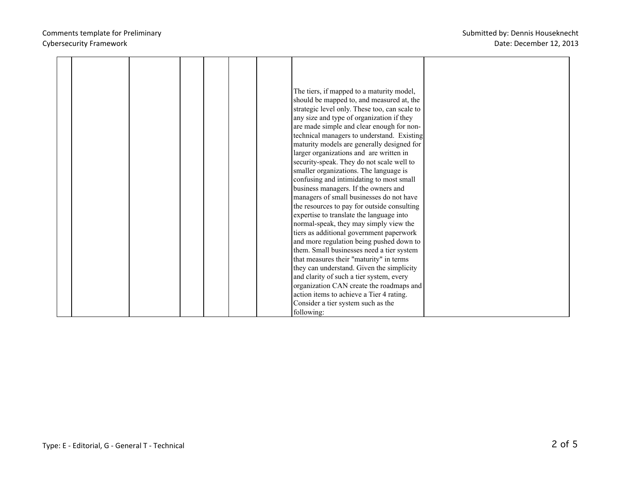|  |  |  | The tiers, if mapped to a maturity model,     |  |
|--|--|--|-----------------------------------------------|--|
|  |  |  |                                               |  |
|  |  |  | should be mapped to, and measured at, the     |  |
|  |  |  | strategic level only. These too, can scale to |  |
|  |  |  | any size and type of organization if they     |  |
|  |  |  | are made simple and clear enough for non-     |  |
|  |  |  | technical managers to understand. Existing    |  |
|  |  |  | maturity models are generally designed for    |  |
|  |  |  | larger organizations and are written in       |  |
|  |  |  | security-speak. They do not scale well to     |  |
|  |  |  | smaller organizations. The language is        |  |
|  |  |  | confusing and intimidating to most small      |  |
|  |  |  |                                               |  |
|  |  |  | business managers. If the owners and          |  |
|  |  |  | managers of small businesses do not have      |  |
|  |  |  | the resources to pay for outside consulting   |  |
|  |  |  | expertise to translate the language into      |  |
|  |  |  | normal-speak, they may simply view the        |  |
|  |  |  | tiers as additional government paperwork      |  |
|  |  |  | and more regulation being pushed down to      |  |
|  |  |  | them. Small businesses need a tier system     |  |
|  |  |  | that measures their "maturity" in terms       |  |
|  |  |  | they can understand. Given the simplicity     |  |
|  |  |  | and clarity of such a tier system, every      |  |
|  |  |  | organization CAN create the roadmaps and      |  |
|  |  |  | action items to achieve a Tier 4 rating.      |  |
|  |  |  | Consider a tier system such as the            |  |
|  |  |  | following:                                    |  |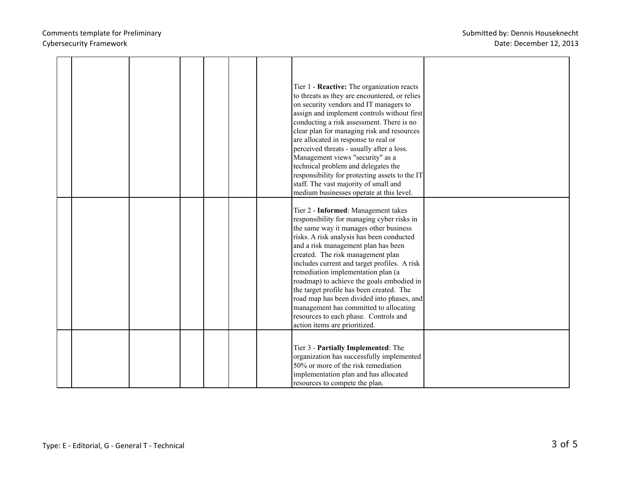|  |  |  | Tier 1 - Reactive: The organization reacts<br>to threats as they are encountered, or relies<br>on security vendors and IT managers to<br>assign and implement controls without first<br>conducting a risk assessment. There is no<br>clear plan for managing risk and resources<br>are allocated in response to real or<br>perceived threats - usually after a loss.<br>Management views "security" as a<br>technical problem and delegates the<br>responsibility for protecting assets to the IT<br>staff. The vast majority of small and<br>medium businesses operate at this level.                |  |
|--|--|--|-------------------------------------------------------------------------------------------------------------------------------------------------------------------------------------------------------------------------------------------------------------------------------------------------------------------------------------------------------------------------------------------------------------------------------------------------------------------------------------------------------------------------------------------------------------------------------------------------------|--|
|  |  |  | Tier 2 - Informed: Management takes<br>responsibility for managing cyber risks in<br>the same way it manages other business<br>risks. A risk analysis has been conducted<br>and a risk management plan has been<br>created. The risk management plan<br>includes current and target profiles. A risk<br>remediation implementation plan (a<br>roadmap) to achieve the goals embodied in<br>the target profile has been created. The<br>road map has been divided into phases, and<br>management has committed to allocating<br>resources to each phase. Controls and<br>action items are prioritized. |  |
|  |  |  | Tier 3 - Partially Implemented: The<br>organization has successfully implemented<br>50% or more of the risk remediation<br>implementation plan and has allocated<br>resources to compete the plan.                                                                                                                                                                                                                                                                                                                                                                                                    |  |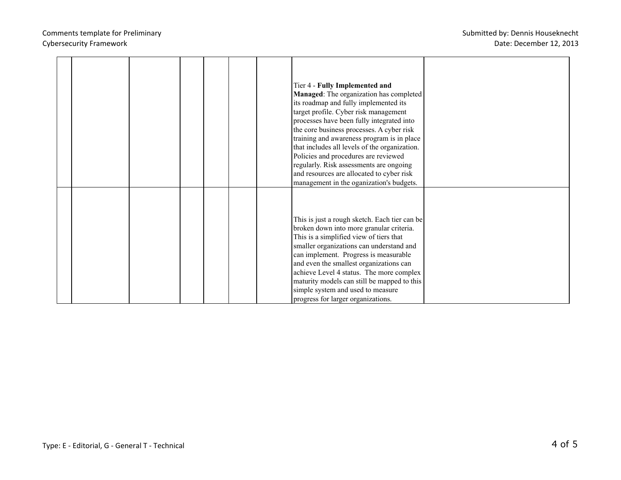|  |  |  | Tier 4 - Fully Implemented and<br>Managed: The organization has completed<br>its roadmap and fully implemented its<br>target profile. Cyber risk management<br>processes have been fully integrated into<br>the core business processes. A cyber risk<br>training and awareness program is in place<br>that includes all levels of the organization.<br>Policies and procedures are reviewed<br>regularly. Risk assessments are ongoing<br>and resources are allocated to cyber risk<br>management in the oganization's budgets. |  |
|--|--|--|----------------------------------------------------------------------------------------------------------------------------------------------------------------------------------------------------------------------------------------------------------------------------------------------------------------------------------------------------------------------------------------------------------------------------------------------------------------------------------------------------------------------------------|--|
|  |  |  | This is just a rough sketch. Each tier can be<br>broken down into more granular criteria.<br>This is a simplified view of tiers that<br>smaller organizations can understand and<br>can implement. Progress is measurable<br>and even the smallest organizations can<br>achieve Level 4 status. The more complex<br>maturity models can still be mapped to this<br>simple system and used to measure<br>progress for larger organizations.                                                                                       |  |